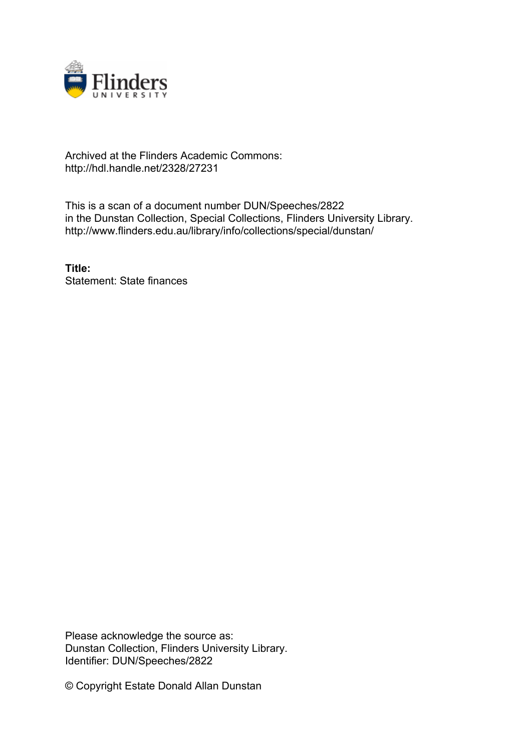

## Archived at the Flinders Academic Commons: http://hdl.handle.net/2328/27231

This is a scan of a document number DUN/Speeches/2822 in the Dunstan Collection, Special Collections, Flinders University Library. http://www.flinders.edu.au/library/info/collections/special/dunstan/

**Title:** Statement: State finances

Please acknowledge the source as: Dunstan Collection, Flinders University Library. Identifier: DUN/Speeches/2822

© Copyright Estate Donald Allan Dunstan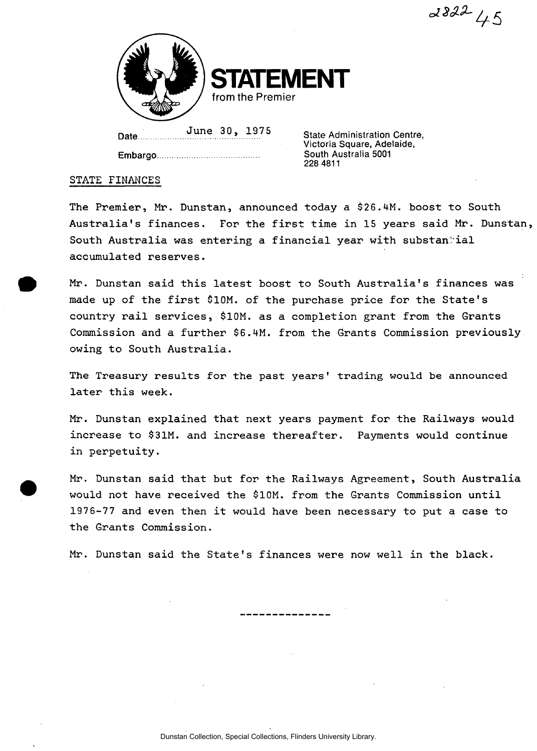$282245$ 



**Date** 

**Embargo** 

**June 30, 1975 State Administration Centre, Victoria Square, Adelaide, South Australia 5001 228 4811** 

## **STATE FINANCES**

**The Premier, Mr. Dunstan, announced today a \$26.4M. boost to South Australia's finances. For the first time in 15 years said Mr. Dunstan,**  South Australia was entering a financial year with substan<sup>tial</sup> **accumulated reserves.** 

**Mr. Dunstan said this latest boost to South Australia's finances was made up of the first \$10M. of the purchase price for the State's country rail services, \$10M. as a completion grant from the Grants Commission and a further \$6.4M. from the Grants Commission previously owing to South Australia.** 

**The Treasury results for the past years' trading would be announced later this week.** 

**Mr. Dunstan explained that next years payment for the Railways would increase to \$31M. and increase thereafter. Payments would continue in perpetuity.** 

**Mr. Dunstan said that but for the Railways Agreement, South Australia would not have received the \$10M. from the Grants Commission until 1976-77 and even then it would have been necessary to put a case to the Grants Commission.** 

**Mr. Dunstan said the State's finances were now well in the black.**